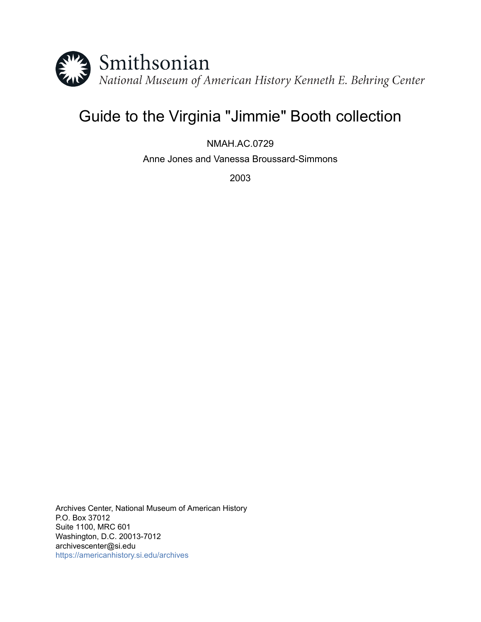

# Guide to the Virginia "Jimmie" Booth collection

NMAH.AC.0729

Anne Jones and Vanessa Broussard-Simmons

2003

Archives Center, National Museum of American History P.O. Box 37012 Suite 1100, MRC 601 Washington, D.C. 20013-7012 archivescenter@si.edu <https://americanhistory.si.edu/archives>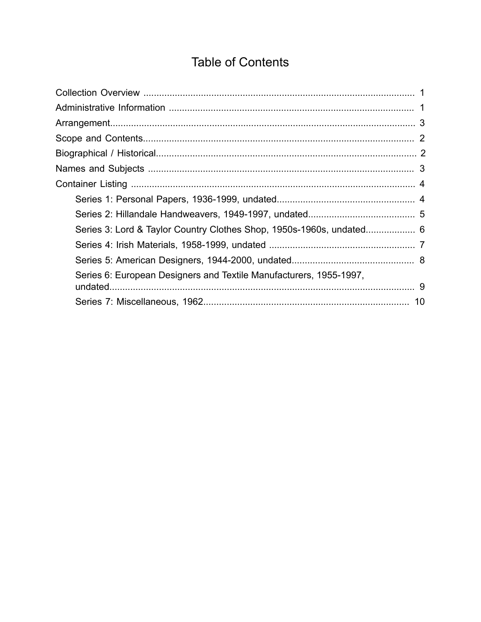## **Table of Contents**

<span id="page-1-0"></span>

| Series 3: Lord & Taylor Country Clothes Shop, 1950s-1960s, undated 6 |  |
|----------------------------------------------------------------------|--|
|                                                                      |  |
|                                                                      |  |
| Series 6: European Designers and Textile Manufacturers, 1955-1997,   |  |
|                                                                      |  |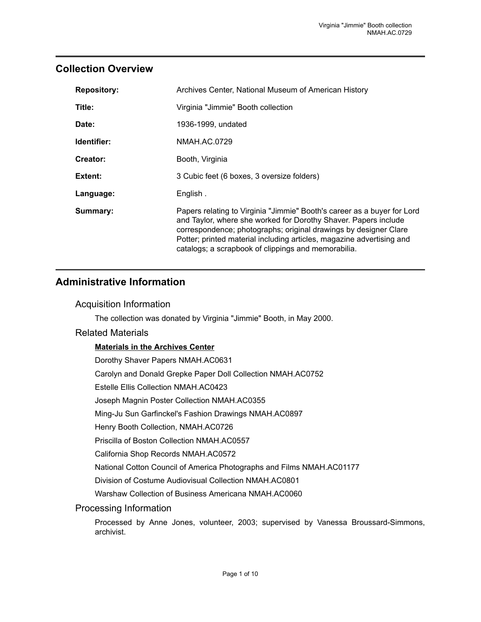## <span id="page-2-0"></span>**Collection Overview**

| <b>Repository:</b> | Archives Center, National Museum of American History                                                                                                                                                                                                                                                                                           |
|--------------------|------------------------------------------------------------------------------------------------------------------------------------------------------------------------------------------------------------------------------------------------------------------------------------------------------------------------------------------------|
| Title:             | Virginia "Jimmie" Booth collection                                                                                                                                                                                                                                                                                                             |
| Date:              | 1936-1999, undated                                                                                                                                                                                                                                                                                                                             |
| Identifier:        | NMAH.AC.0729                                                                                                                                                                                                                                                                                                                                   |
| Creator:           | Booth, Virginia                                                                                                                                                                                                                                                                                                                                |
| Extent:            | 3 Cubic feet (6 boxes, 3 oversize folders)                                                                                                                                                                                                                                                                                                     |
| Language:          | English.                                                                                                                                                                                                                                                                                                                                       |
| Summary:           | Papers relating to Virginia "Jimmie" Booth's career as a buyer for Lord<br>and Taylor, where she worked for Dorothy Shaver. Papers include<br>correspondence; photographs; original drawings by designer Clare<br>Potter; printed material including articles, magazine advertising and<br>catalogs; a scrapbook of clippings and memorabilia. |

## <span id="page-2-1"></span>**Administrative Information**

#### Acquisition Information

The collection was donated by Virginia "Jimmie" Booth, in May 2000.

#### Related Materials

#### **Materials in the Archives Center**

Dorothy Shaver Papers NMAH.AC0631

Carolyn and Donald Grepke Paper Doll Collection NMAH.AC0752

Estelle Ellis Collection NMAH.AC0423

Joseph Magnin Poster Collection NMAH.AC0355

Ming-Ju Sun Garfinckel's Fashion Drawings NMAH.AC0897

Henry Booth Collection, NMAH.AC0726

Priscilla of Boston Collection NMAH.AC0557

California Shop Records NMAH.AC0572

National Cotton Council of America Photographs and Films NMAH.AC01177

Division of Costume Audiovisual Collection NMAH.AC0801

Warshaw Collection of Business Americana NMAH.AC0060

#### Processing Information

Processed by Anne Jones, volunteer, 2003; supervised by Vanessa Broussard-Simmons, archivist.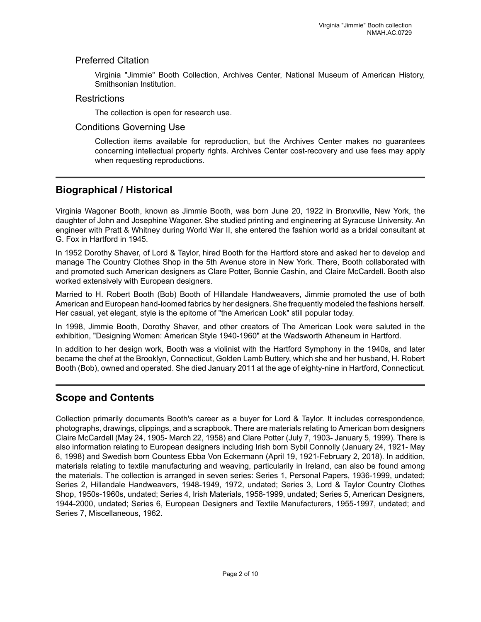#### Preferred Citation

Virginia "Jimmie" Booth Collection, Archives Center, National Museum of American History, Smithsonian Institution.

#### **Restrictions**

The collection is open for research use.

#### Conditions Governing Use

Collection items available for reproduction, but the Archives Center makes no guarantees concerning intellectual property rights. Archives Center cost-recovery and use fees may apply when requesting reproductions.

## <span id="page-3-1"></span>**Biographical / Historical**

Virginia Wagoner Booth, known as Jimmie Booth, was born June 20, 1922 in Bronxville, New York, the daughter of John and Josephine Wagoner. She studied printing and engineering at Syracuse University. An engineer with Pratt & Whitney during World War II, she entered the fashion world as a bridal consultant at G. Fox in Hartford in 1945.

In 1952 Dorothy Shaver, of Lord & Taylor, hired Booth for the Hartford store and asked her to develop and manage The Country Clothes Shop in the 5th Avenue store in New York. There, Booth collaborated with and promoted such American designers as Clare Potter, Bonnie Cashin, and Claire McCardell. Booth also worked extensively with European designers.

Married to H. Robert Booth (Bob) Booth of Hillandale Handweavers, Jimmie promoted the use of both American and European hand-loomed fabrics by her designers. She frequently modeled the fashions herself. Her casual, yet elegant, style is the epitome of "the American Look" still popular today.

In 1998, Jimmie Booth, Dorothy Shaver, and other creators of The American Look were saluted in the exhibition, "Designing Women: American Style 1940-1960" at the Wadsworth Atheneum in Hartford.

In addition to her design work, Booth was a violinist with the Hartford Symphony in the 1940s, and later became the chef at the Brooklyn, Connecticut, Golden Lamb Buttery, which she and her husband, H. Robert Booth (Bob), owned and operated. She died January 2011 at the age of eighty-nine in Hartford, Connecticut.

## <span id="page-3-0"></span>**Scope and Contents**

Collection primarily documents Booth's career as a buyer for Lord & Taylor. It includes correspondence, photographs, drawings, clippings, and a scrapbook. There are materials relating to American born designers Claire McCardell (May 24, 1905- March 22, 1958) and Clare Potter (July 7, 1903- January 5, 1999). There is also information relating to European designers including Irish born Sybil Connolly (January 24, 1921- May 6, 1998) and Swedish born Countess Ebba Von Eckermann (April 19, 1921-February 2, 2018). In addition, materials relating to textile manufacturing and weaving, particularily in Ireland, can also be found among the materials. The collection is arranged in seven series: Series 1, Personal Papers, 1936-1999, undated; Series 2, Hillandale Handweavers, 1948-1949, 1972, undated; Series 3, Lord & Taylor Country Clothes Shop, 1950s-1960s, undated; Series 4, Irish Materials, 1958-1999, undated; Series 5, American Designers, 1944-2000, undated; Series 6, European Designers and Textile Manufacturers, 1955-1997, undated; and Series 7, Miscellaneous, 1962.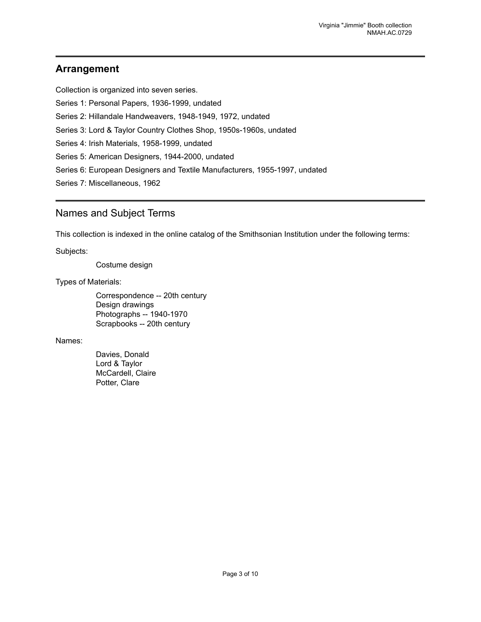## <span id="page-4-0"></span>**Arrangement**

Collection is organized into seven series.

Series 1: Personal Papers, 1936-1999, undated

Series 2: Hillandale Handweavers, 1948-1949, 1972, undated

Series 3: Lord & Taylor Country Clothes Shop, 1950s-1960s, undated

Series 4: Irish Materials, 1958-1999, undated

Series 5: American Designers, 1944-2000, undated

Series 6: European Designers and Textile Manufacturers, 1955-1997, undated

Series 7: Miscellaneous, 1962

## <span id="page-4-1"></span>Names and Subject Terms

This collection is indexed in the online catalog of the Smithsonian Institution under the following terms:

Subjects:

Costume design

#### Types of Materials:

Correspondence -- 20th century Design drawings Photographs -- 1940-1970 Scrapbooks -- 20th century

#### Names:

Davies, Donald Lord & Taylor McCardell, Claire Potter, Clare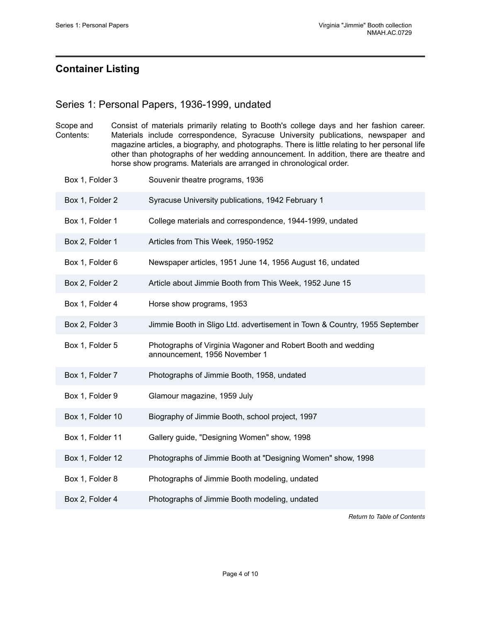## <span id="page-5-0"></span>**Container Listing**

#### <span id="page-5-1"></span>Series 1: Personal Papers, 1936-1999, undated

| Scope and | Consist of materials primarily relating to Booth's college days and her fashion career.        |
|-----------|------------------------------------------------------------------------------------------------|
| Contents: | Materials include correspondence, Syracuse University publications, newspaper and              |
|           | magazine articles, a biography, and photographs. There is little relating to her personal life |
|           | other than photographs of her wedding announcement. In addition, there are theatre and         |
|           | horse show programs. Materials are arranged in chronological order.                            |

- Box 1, Folder 3 Souvenir theatre programs, 1936
- Box 1, Folder 2 Syracuse University publications, 1942 February 1
- Box 1, Folder 1 College materials and correspondence, 1944-1999, undated
- Box 2, Folder 1 Articles from This Week, 1950-1952
- Box 1, Folder 6 Newspaper articles, 1951 June 14, 1956 August 16, undated
- Box 2, Folder 2 **Article about Jimmie Booth from This Week**, 1952 June 15
- Box 1, Folder 4 Horse show programs, 1953
- Box 2, Folder 3 Jimmie Booth in Sligo Ltd. advertisement in Town & Country, 1955 September
- Box 1, Folder 5 Photographs of Virginia Wagoner and Robert Booth and wedding announcement, 1956 November 1
- Box 1, Folder 7 Photographs of Jimmie Booth, 1958, undated
- Box 1, Folder 9 Glamour magazine, 1959 July
- Box 1, Folder 10 Biography of Jimmie Booth, school project, 1997
- Box 1, Folder 11 Gallery guide, "Designing Women" show, 1998
- Box 1, Folder 12 Photographs of Jimmie Booth at "Designing Women" show, 1998
- Box 1, Folder 8 Photographs of Jimmie Booth modeling, undated
- Box 2, Folder 4 Photographs of Jimmie Booth modeling, undated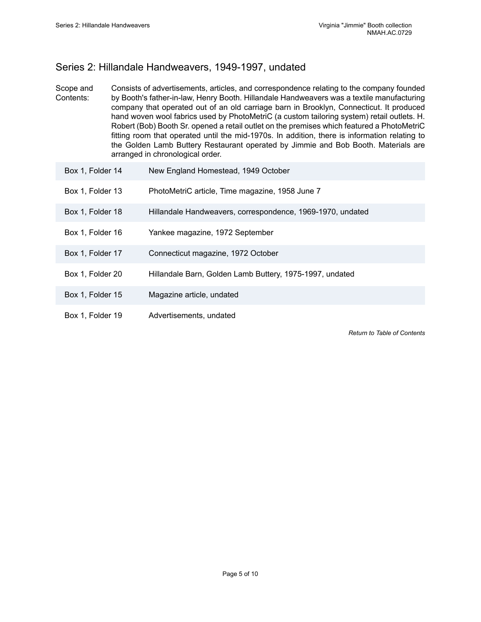## <span id="page-6-0"></span>Series 2: Hillandale Handweavers, 1949-1997, undated

Scope and Contents: Consists of advertisements, articles, and correspondence relating to the company founded by Booth's father-in-law, Henry Booth. Hillandale Handweavers was a textile manufacturing company that operated out of an old carriage barn in Brooklyn, Connecticut. It produced hand woven wool fabrics used by PhotoMetriC (a custom tailoring system) retail outlets. H. Robert (Bob) Booth Sr. opened a retail outlet on the premises which featured a PhotoMetriC fitting room that operated until the mid-1970s. In addition, there is information relating to the Golden Lamb Buttery Restaurant operated by Jimmie and Bob Booth. Materials are arranged in chronological order.

| Box 1, Folder 14 | New England Homestead, 1949 October                        |
|------------------|------------------------------------------------------------|
| Box 1, Folder 13 | PhotoMetriC article, Time magazine, 1958 June 7            |
| Box 1, Folder 18 | Hillandale Handweavers, correspondence, 1969-1970, undated |
| Box 1, Folder 16 | Yankee magazine, 1972 September                            |
| Box 1, Folder 17 | Connecticut magazine, 1972 October                         |
| Box 1, Folder 20 | Hillandale Barn, Golden Lamb Buttery, 1975-1997, undated   |
| Box 1, Folder 15 | Magazine article, undated                                  |
| Box 1, Folder 19 | Advertisements, undated                                    |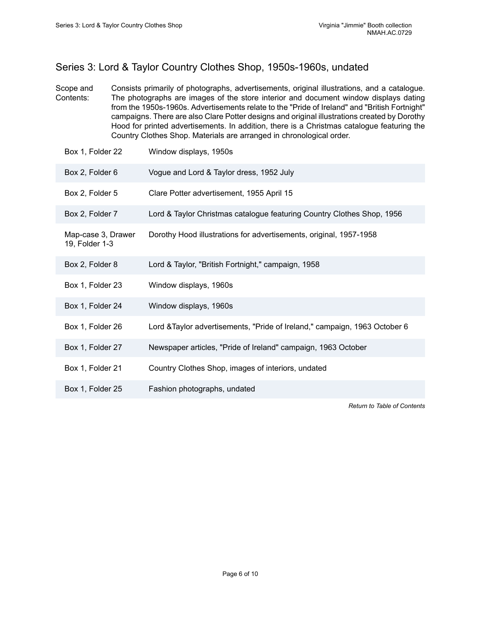## <span id="page-7-0"></span>Series 3: Lord & Taylor Country Clothes Shop, 1950s-1960s, undated

- Scope and Contents: Consists primarily of photographs, advertisements, original illustrations, and a catalogue. The photographs are images of the store interior and document window displays dating from the 1950s-1960s. Advertisements relate to the "Pride of Ireland" and "British Fortnight" campaigns. There are also Clare Potter designs and original illustrations created by Dorothy Hood for printed advertisements. In addition, there is a Christmas catalogue featuring the Country Clothes Shop. Materials are arranged in chronological order.
- Box 1, Folder 22 Window displays, 1950s Box 2, Folder 6 Vogue and Lord & Taylor dress, 1952 July Box 2, Folder 5 Clare Potter advertisement, 1955 April 15 Box 2, Folder 7 Lord & Taylor Christmas catalogue featuring Country Clothes Shop, 1956 Map-case 3, Drawer 19, Folder 1-3 Dorothy Hood illustrations for advertisements, original, 1957-1958 Box 2, Folder 8 Lord & Taylor, "British Fortnight," campaign, 1958 Box 1, Folder 23 Window displays, 1960s Box 1, Folder 24 Window displays, 1960s Box 1, Folder 26 Lord &Taylor advertisements, "Pride of Ireland," campaign, 1963 October 6 Box 1, Folder 27 Newspaper articles, "Pride of Ireland" campaign, 1963 October Box 1, Folder 21 Country Clothes Shop, images of interiors, undated Box 1, Folder 25 Fashion photographs, undated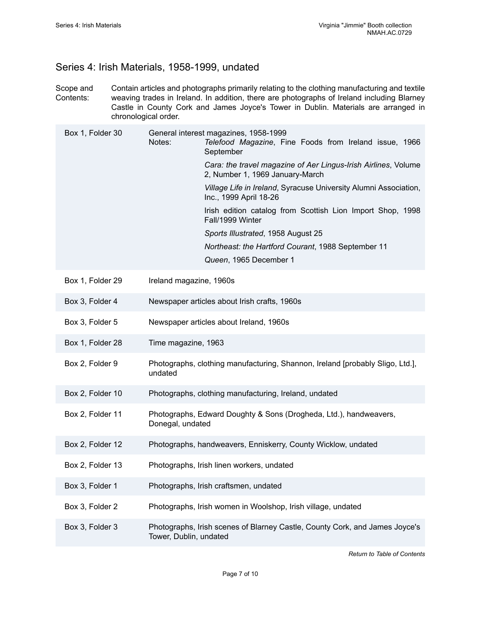#### <span id="page-8-0"></span>Series 4: Irish Materials, 1958-1999, undated

Scope and Contents: Contain articles and photographs primarily relating to the clothing manufacturing and textile weaving trades in Ireland. In addition, there are photographs of Ireland including Blarney Castle in County Cork and James Joyce's Tower in Dublin. Materials are arranged in chronological order.

| Box 1, Folder 30 | General interest magazines, 1958-1999<br>Notes:<br>Telefood Magazine, Fine Foods from Ireland issue, 1966<br>September |
|------------------|------------------------------------------------------------------------------------------------------------------------|
|                  | Cara: the travel magazine of Aer Lingus-Irish Airlines, Volume<br>2, Number 1, 1969 January-March                      |
|                  | Village Life in Ireland, Syracuse University Alumni Association,<br>Inc., 1999 April 18-26                             |
|                  | Irish edition catalog from Scottish Lion Import Shop, 1998<br>Fall/1999 Winter                                         |
|                  | Sports Illustrated, 1958 August 25                                                                                     |
|                  | Northeast: the Hartford Courant, 1988 September 11                                                                     |
|                  | Queen, 1965 December 1                                                                                                 |
| Box 1, Folder 29 | Ireland magazine, 1960s                                                                                                |
| Box 3, Folder 4  | Newspaper articles about Irish crafts, 1960s                                                                           |
| Box 3, Folder 5  | Newspaper articles about Ireland, 1960s                                                                                |
| Box 1, Folder 28 | Time magazine, 1963                                                                                                    |
| Box 2, Folder 9  | Photographs, clothing manufacturing, Shannon, Ireland [probably Sligo, Ltd.],<br>undated                               |
| Box 2, Folder 10 | Photographs, clothing manufacturing, Ireland, undated                                                                  |
| Box 2, Folder 11 | Photographs, Edward Doughty & Sons (Drogheda, Ltd.), handweavers,<br>Donegal, undated                                  |
| Box 2, Folder 12 | Photographs, handweavers, Enniskerry, County Wicklow, undated                                                          |
| Box 2, Folder 13 | Photographs, Irish linen workers, undated                                                                              |
| Box 3, Folder 1  | Photographs, Irish craftsmen, undated                                                                                  |
| Box 3, Folder 2  | Photographs, Irish women in Woolshop, Irish village, undated                                                           |
| Box 3, Folder 3  | Photographs, Irish scenes of Blarney Castle, County Cork, and James Joyce's<br>Tower, Dublin, undated                  |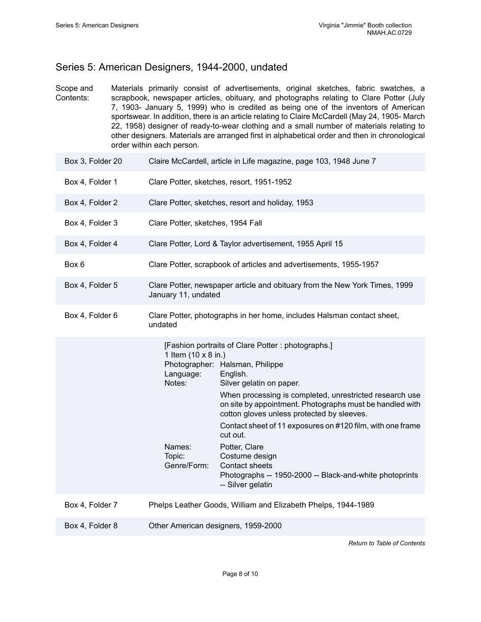## <span id="page-9-0"></span>Series 5: American Designers, 1944-2000, undated

Scope and Contents: Materials primarily consist of advertisements, original sketches, fabric swatches, a scrapbook, newspaper articles, obituary, and photographs relating to Clare Potter (July 7, 1903- January 5, 1999) who is credited as being one of the inventors of American sportswear. In addition, there is an article relating to Claire McCardell (May 24, 1905- March 22, 1958) designer of ready-to-wear clothing and a small number of materials relating to other designers. Materials are arranged first in alphabetical order and then in chronological order within each person.

| Box 3, Folder 20 | Claire McCardell, article in Life magazine, page 103, 1948 June 7                                                                                                                                                                                                                                                                                                                                                                                                                                                                                                                                  |
|------------------|----------------------------------------------------------------------------------------------------------------------------------------------------------------------------------------------------------------------------------------------------------------------------------------------------------------------------------------------------------------------------------------------------------------------------------------------------------------------------------------------------------------------------------------------------------------------------------------------------|
| Box 4, Folder 1  | Clare Potter, sketches, resort, 1951-1952                                                                                                                                                                                                                                                                                                                                                                                                                                                                                                                                                          |
| Box 4, Folder 2  | Clare Potter, sketches, resort and holiday, 1953                                                                                                                                                                                                                                                                                                                                                                                                                                                                                                                                                   |
| Box 4, Folder 3  | Clare Potter, sketches, 1954 Fall                                                                                                                                                                                                                                                                                                                                                                                                                                                                                                                                                                  |
| Box 4, Folder 4  | Clare Potter, Lord & Taylor advertisement, 1955 April 15                                                                                                                                                                                                                                                                                                                                                                                                                                                                                                                                           |
| Box 6            | Clare Potter, scrapbook of articles and advertisements, 1955-1957                                                                                                                                                                                                                                                                                                                                                                                                                                                                                                                                  |
| Box 4, Folder 5  | Clare Potter, newspaper article and obituary from the New York Times, 1999<br>January 11, undated                                                                                                                                                                                                                                                                                                                                                                                                                                                                                                  |
| Box 4, Folder 6  | Clare Potter, photographs in her home, includes Halsman contact sheet,<br>undated                                                                                                                                                                                                                                                                                                                                                                                                                                                                                                                  |
|                  | [Fashion portraits of Clare Potter : photographs.]<br>1 Item (10 x 8 in.)<br>Photographer: Halsman, Philippe<br>Language:<br>English.<br>Notes:<br>Silver gelatin on paper.<br>When processing is completed, unrestricted research use<br>on site by appointment. Photographs must be handled with<br>cotton gloves unless protected by sleeves.<br>Contact sheet of 11 exposures on #120 film, with one frame<br>cut out.<br>Names:<br>Potter, Clare<br>Topic:<br>Costume design<br>Genre/Form:<br>Contact sheets<br>Photographs -- 1950-2000 -- Black-and-white photoprints<br>-- Silver gelatin |
| Box 4, Folder 7  | Phelps Leather Goods, William and Elizabeth Phelps, 1944-1989                                                                                                                                                                                                                                                                                                                                                                                                                                                                                                                                      |
| Box 4, Folder 8  | Other American designers, 1959-2000                                                                                                                                                                                                                                                                                                                                                                                                                                                                                                                                                                |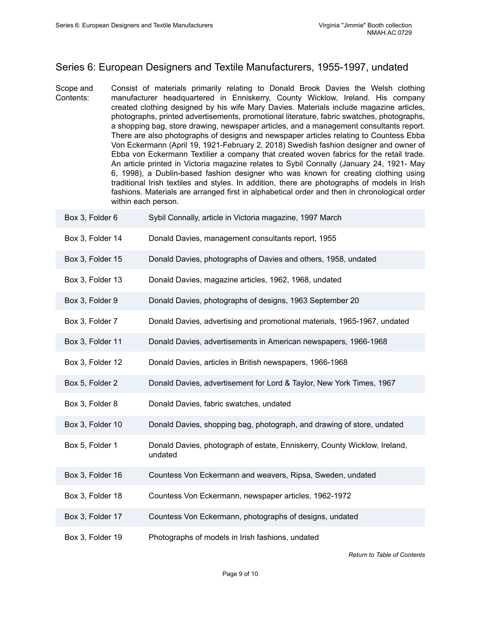## <span id="page-10-0"></span>Series 6: European Designers and Textile Manufacturers, 1955-1997, undated

Scope and Contents: Consist of materials primarily relating to Donald Brook Davies the Welsh clothing manufacturer headquartered in Enniskerry, County Wicklow, Ireland. His company created clothing designed by his wife Mary Davies. Materials include magazine articles, photographs, printed advertisements, promotional literature, fabric swatches, photographs, a shopping bag, store drawing, newspaper articles, and a management consultants report. There are also photographs of designs and newspaper articles relating to Countess Ebba Von Eckermann (April 19, 1921-February 2, 2018) Swedish fashion designer and owner of Ebba von Eckermann Textilier a company that created woven fabrics for the retail trade. An article printed in Victoria magazine relates to Sybil Connally (January 24, 1921- May 6, 1998), a Dublin-based fashion designer who was known for creating clothing using traditional Irish textiles and styles. In addition, there are photographs of models in Irish fashions. Materials are arranged first in alphabetical order and then in chronological order within each person.

| Box 3, Folder 6  | Sybil Connally, article in Victoria magazine, 1997 March                             |
|------------------|--------------------------------------------------------------------------------------|
| Box 3, Folder 14 | Donald Davies, management consultants report, 1955                                   |
| Box 3, Folder 15 | Donald Davies, photographs of Davies and others, 1958, undated                       |
| Box 3, Folder 13 | Donald Davies, magazine articles, 1962, 1968, undated                                |
| Box 3, Folder 9  | Donald Davies, photographs of designs, 1963 September 20                             |
| Box 3, Folder 7  | Donald Davies, advertising and promotional materials, 1965-1967, undated             |
| Box 3, Folder 11 | Donald Davies, advertisements in American newspapers, 1966-1968                      |
| Box 3, Folder 12 | Donald Davies, articles in British newspapers, 1966-1968                             |
| Box 5, Folder 2  | Donald Davies, advertisement for Lord & Taylor, New York Times, 1967                 |
| Box 3, Folder 8  | Donald Davies, fabric swatches, undated                                              |
| Box 3, Folder 10 | Donald Davies, shopping bag, photograph, and drawing of store, undated               |
| Box 5, Folder 1  | Donald Davies, photograph of estate, Enniskerry, County Wicklow, Ireland,<br>undated |
| Box 3, Folder 16 | Countess Von Eckermann and weavers, Ripsa, Sweden, undated                           |
| Box 3, Folder 18 | Countess Von Eckermann, newspaper articles, 1962-1972                                |
| Box 3, Folder 17 | Countess Von Eckermann, photographs of designs, undated                              |
| Box 3, Folder 19 | Photographs of models in Irish fashions, undated                                     |